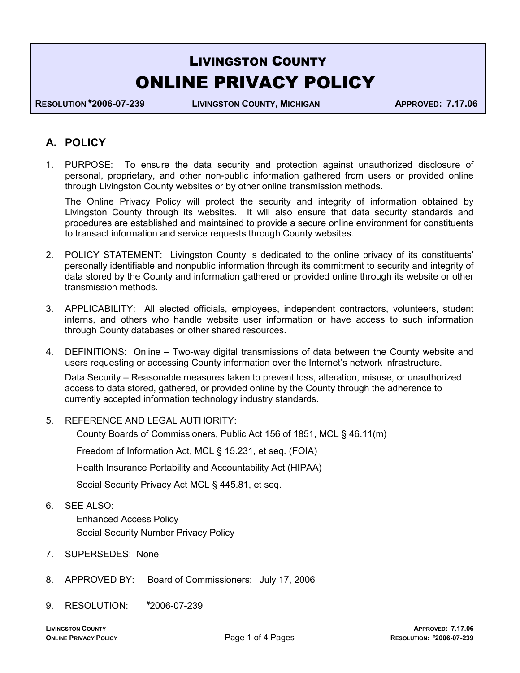# LIVINGSTON COUNTY ONLINE PRIVACY POLICY

RESOLUTION #2006-07-239 LIVINGSTON COUNTY, MICHIGAN APPROVED: 7.17.06

# A. POLICY

1. PURPOSE: To ensure the data security and protection against unauthorized disclosure of personal, proprietary, and other non-public information gathered from users or provided online through Livingston County websites or by other online transmission methods.

 The Online Privacy Policy will protect the security and integrity of information obtained by Livingston County through its websites. It will also ensure that data security standards and procedures are established and maintained to provide a secure online environment for constituents to transact information and service requests through County websites.

- 2. POLICY STATEMENT: Livingston County is dedicated to the online privacy of its constituents' personally identifiable and nonpublic information through its commitment to security and integrity of data stored by the County and information gathered or provided online through its website or other transmission methods.
- 3. APPLICABILITY: All elected officials, employees, independent contractors, volunteers, student interns, and others who handle website user information or have access to such information through County databases or other shared resources.
- 4. DEFINITIONS: Online Two-way digital transmissions of data between the County website and users requesting or accessing County information over the Internet's network infrastructure.

Data Security – Reasonable measures taken to prevent loss, alteration, misuse, or unauthorized access to data stored, gathered, or provided online by the County through the adherence to currently accepted information technology industry standards.

5. REFERENCE AND LEGAL AUTHORITY:

County Boards of Commissioners, Public Act 156 of 1851, MCL § 46.11(m)

Freedom of Information Act, MCL § 15.231, et seq. (FOIA)

Health Insurance Portability and Accountability Act (HIPAA)

Social Security Privacy Act MCL § 445.81, et seq.

6. SEE ALSO:

 Enhanced Access Policy Social Security Number Privacy Policy

- 7. SUPERSEDES: None
- 8. APPROVED BY: Board of Commissioners: July 17, 2006
- 9. RESOLUTION: #2006-07-239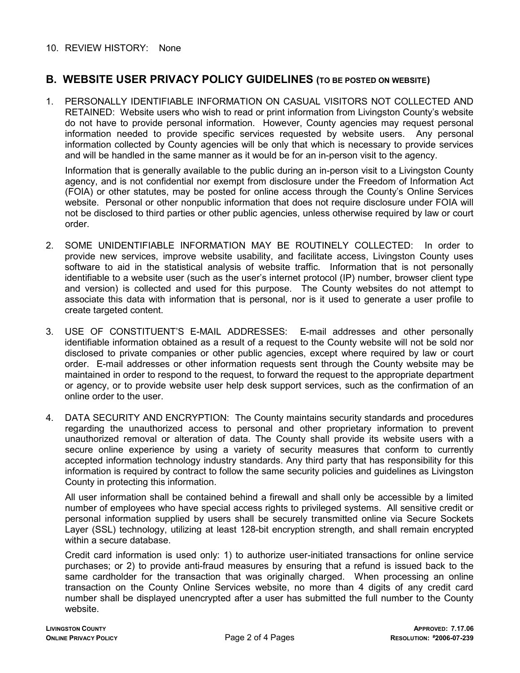## 10. REVIEW HISTORY: None

# B. WEBSITE USER PRIVACY POLICY GUIDELINES (TO BE POSTED ON WEBSITE)

1. PERSONALLY IDENTIFIABLE INFORMATION ON CASUAL VISITORS NOT COLLECTED AND RETAINED: Website users who wish to read or print information from Livingston County's website do not have to provide personal information. However, County agencies may request personal information needed to provide specific services requested by website users. Any personal information collected by County agencies will be only that which is necessary to provide services and will be handled in the same manner as it would be for an in-person visit to the agency.

Information that is generally available to the public during an in-person visit to a Livingston County agency, and is not confidential nor exempt from disclosure under the Freedom of Information Act (FOIA) or other statutes, may be posted for online access through the County's Online Services website. Personal or other nonpublic information that does not require disclosure under FOIA will not be disclosed to third parties or other public agencies, unless otherwise required by law or court order.

- 2. SOME UNIDENTIFIABLE INFORMATION MAY BE ROUTINELY COLLECTED: In order to provide new services, improve website usability, and facilitate access, Livingston County uses software to aid in the statistical analysis of website traffic. Information that is not personally identifiable to a website user (such as the user's internet protocol (IP) number, browser client type and version) is collected and used for this purpose. The County websites do not attempt to associate this data with information that is personal, nor is it used to generate a user profile to create targeted content.
- 3. USE OF CONSTITUENT'S E-MAIL ADDRESSES: E-mail addresses and other personally identifiable information obtained as a result of a request to the County website will not be sold nor disclosed to private companies or other public agencies, except where required by law or court order. E-mail addresses or other information requests sent through the County website may be maintained in order to respond to the request, to forward the request to the appropriate department or agency, or to provide website user help desk support services, such as the confirmation of an online order to the user.
- 4. DATA SECURITY AND ENCRYPTION: The County maintains security standards and procedures regarding the unauthorized access to personal and other proprietary information to prevent unauthorized removal or alteration of data. The County shall provide its website users with a secure online experience by using a variety of security measures that conform to currently accepted information technology industry standards. Any third party that has responsibility for this information is required by contract to follow the same security policies and guidelines as Livingston County in protecting this information.

All user information shall be contained behind a firewall and shall only be accessible by a limited number of employees who have special access rights to privileged systems. All sensitive credit or personal information supplied by users shall be securely transmitted online via Secure Sockets Layer (SSL) technology, utilizing at least 128-bit encryption strength, and shall remain encrypted within a secure database.

Credit card information is used only: 1) to authorize user-initiated transactions for online service purchases; or 2) to provide anti-fraud measures by ensuring that a refund is issued back to the same cardholder for the transaction that was originally charged. When processing an online transaction on the County Online Services website, no more than 4 digits of any credit card number shall be displayed unencrypted after a user has submitted the full number to the County website.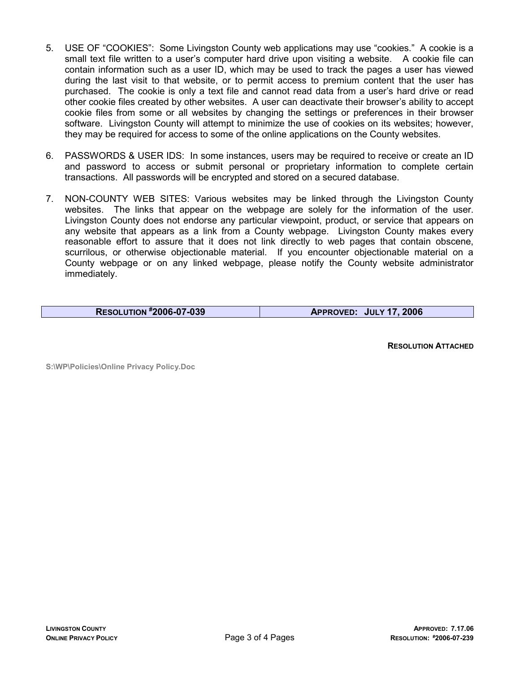- 5. USE OF "COOKIES": Some Livingston County web applications may use "cookies." A cookie is a small text file written to a user's computer hard drive upon visiting a website. A cookie file can contain information such as a user ID, which may be used to track the pages a user has viewed during the last visit to that website, or to permit access to premium content that the user has purchased. The cookie is only a text file and cannot read data from a user's hard drive or read other cookie files created by other websites. A user can deactivate their browser's ability to accept cookie files from some or all websites by changing the settings or preferences in their browser software. Livingston County will attempt to minimize the use of cookies on its websites; however, they may be required for access to some of the online applications on the County websites.
- 6. PASSWORDS & USER IDS: In some instances, users may be required to receive or create an ID and password to access or submit personal or proprietary information to complete certain transactions. All passwords will be encrypted and stored on a secured database.
- 7. NON-COUNTY WEB SITES: Various websites may be linked through the Livingston County websites. The links that appear on the webpage are solely for the information of the user. Livingston County does not endorse any particular viewpoint, product, or service that appears on any website that appears as a link from a County webpage. Livingston County makes every reasonable effort to assure that it does not link directly to web pages that contain obscene, scurrilous, or otherwise objectionable material. If you encounter objectionable material on a County webpage or on any linked webpage, please notify the County website administrator immediately.

RESOLUTION #2006-07-039 APPROVED: JULY 17, 2006

RESOLUTION ATTACHED

S:\WP\Policies\Online Privacy Policy.Doc